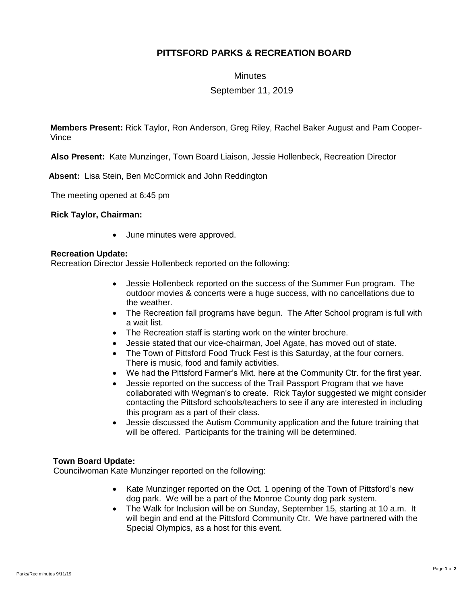## **PITTSFORD PARKS & RECREATION BOARD**

**Minutes** 

September 11, 2019

**Members Present:** Rick Taylor, Ron Anderson, Greg Riley, Rachel Baker August and Pam Cooper-Vince

**Also Present:** Kate Munzinger, Town Board Liaison, Jessie Hollenbeck, Recreation Director

 **Absent:** Lisa Stein, Ben McCormick and John Reddington

The meeting opened at 6:45 pm

**Rick Taylor, Chairman:**

June minutes were approved.

## **Recreation Update:**

Recreation Director Jessie Hollenbeck reported on the following:

- Jessie Hollenbeck reported on the success of the Summer Fun program. The outdoor movies & concerts were a huge success, with no cancellations due to the weather.
- The Recreation fall programs have begun. The After School program is full with a wait list.
- The Recreation staff is starting work on the winter brochure.
- Jessie stated that our vice-chairman, Joel Agate, has moved out of state.
- The Town of Pittsford Food Truck Fest is this Saturday, at the four corners. There is music, food and family activities.
- We had the Pittsford Farmer's Mkt. here at the Community Ctr. for the first year.
- Jessie reported on the success of the Trail Passport Program that we have collaborated with Wegman's to create. Rick Taylor suggested we might consider contacting the Pittsford schools/teachers to see if any are interested in including this program as a part of their class.
- Jessie discussed the Autism Community application and the future training that will be offered. Participants for the training will be determined.

## **Town Board Update:**

Councilwoman Kate Munzinger reported on the following:

- Kate Munzinger reported on the Oct. 1 opening of the Town of Pittsford's new dog park. We will be a part of the Monroe County dog park system.
- The Walk for Inclusion will be on Sunday, September 15, starting at 10 a.m. It will begin and end at the Pittsford Community Ctr. We have partnered with the Special Olympics, as a host for this event.